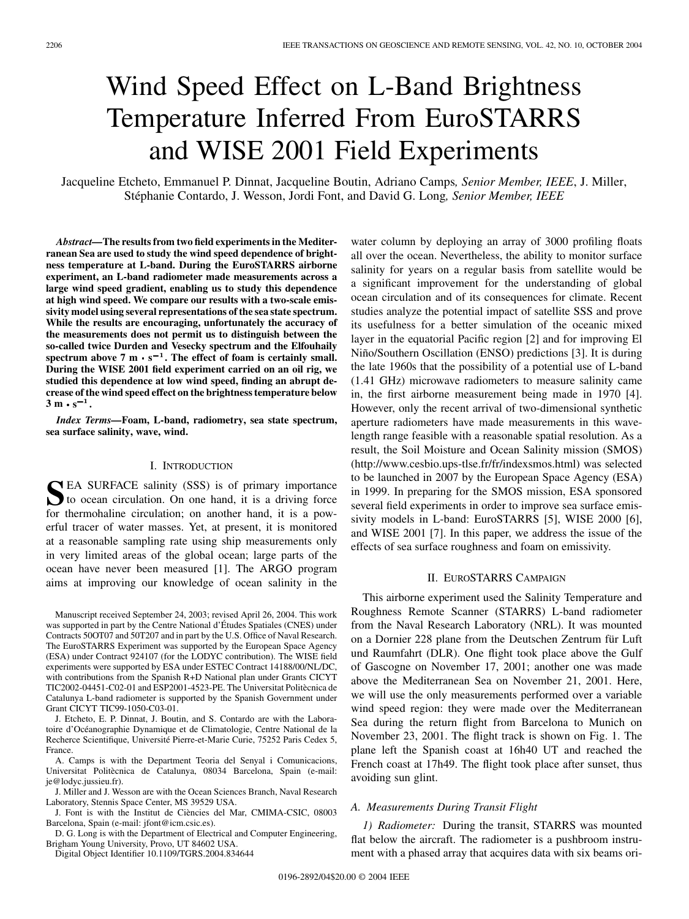# Wind Speed Effect on L-Band Brightness Temperature Inferred From EuroSTARRS and WISE 2001 Field Experiments

Jacqueline Etcheto, Emmanuel P. Dinnat, Jacqueline Boutin, Adriano Camps*, Senior Member, IEEE*, J. Miller, Stéphanie Contardo, J. Wesson, Jordi Font, and David G. Long*, Senior Member, IEEE*

*Abstract—***The results from two field experiments in the Mediterranean Sea are used to study the wind speed dependence of brightness temperature at L-band. During the EuroSTARRS airborne experiment, an L-band radiometer made measurements across a large wind speed gradient, enabling us to study this dependence at high wind speed. We compare our results with a two-scale emissivity model using several representations of the sea state spectrum. While the results are encouraging, unfortunately the accuracy of the measurements does not permit us to distinguish between the so-called twice Durden and Vesecky spectrum and the Elfouhaily** spectrum above 7 m  $\cdot$  s<sup>-1</sup>. The effect of foam is certainly small. **During the WISE 2001 field experiment carried on an oil rig, we studied this dependence at low wind speed, finding an abrupt decrease of the wind speed effect on the brightness temperature below**  $3 \text{ m} \cdot \text{s}^{-1}$ .

*Index Terms—***Foam, L-band, radiometry, sea state spectrum, sea surface salinity, wave, wind.**

## I. INTRODUCTION

SEA SURFACE salinity (SSS) is of primary importance<br>to ocean circulation. On one hand, it is a driving force for thermohaline circulation; on another hand, it is a powerful tracer of water masses. Yet, at present, it is monitored at a reasonable sampling rate using ship measurements only in very limited areas of the global ocean; large parts of the ocean have never been measured [[1\]](#page-5-0). The ARGO program aims at improving our knowledge of ocean salinity in the

Manuscript received September 24, 2003; revised April 26, 2004. This work was supported in part by the Centre National d'Études Spatiales (CNES) under Contracts 50OT07 and 50T207 and in part by the U.S. Office of Naval Research. The EuroSTARRS Experiment was supported by the European Space Agency (ESA) under Contract 924107 (for the LODYC contribution). The WISE field experiments were supported by ESA under ESTEC Contract 14188/00/NL/DC, with contributions from the Spanish R+D National plan under Grants CICYT TIC2002-04451-C02-01 and ESP2001-4523-PE. The Universitat Politècnica de Catalunya L-band radiometer is supported by the Spanish Government under Grant CICYT TIC99-1050-C03-01.

J. Etcheto, E. P. Dinnat, J. Boutin, and S. Contardo are with the Laboratoire d'Océanographie Dynamique et de Climatologie, Centre National de la Recherce Scientifique, Université Pierre-et-Marie Curie, 75252 Paris Cedex 5, France.

A. Camps is with the Department Teoria del Senyal i Comunicacions, Universitat Politècnica de Catalunya, 08034 Barcelona, Spain (e-mail: je@lodyc.jussieu.fr).

J. Miller and J. Wesson are with the Ocean Sciences Branch, Naval Research Laboratory, Stennis Space Center, MS 39529 USA.

J. Font is with the Institut de Ciències del Mar, CMIMA-CSIC, 08003 Barcelona, Spain (e-mail: jfont@icm.csic.es).

D. G. Long is with the Department of Electrical and Computer Engineering, Brigham Young University, Provo, UT 84602 USA.

Digital Object Identifier 10.1109/TGRS.2004.834644

water column by deploying an array of 3000 profiling floats all over the ocean. Nevertheless, the ability to monitor surface salinity for years on a regular basis from satellite would be a significant improvement for the understanding of global ocean circulation and of its consequences for climate. Recent studies analyze the potential impact of satellite SSS and prove its usefulness for a better simulation of the oceanic mixed layer in the equatorial Pacific region [[2\]](#page-5-0) and for improving El Niño/Southern Oscillation (ENSO) predictions [\[3](#page-5-0)]. It is during the late 1960s that the possibility of a potential use of L-band (1.41 GHz) microwave radiometers to measure salinity came in, the first airborne measurement being made in 1970 [[4\]](#page-5-0). However, only the recent arrival of two-dimensional synthetic aperture radiometers have made measurements in this wavelength range feasible with a reasonable spatial resolution. As a result, the Soil Moisture and Ocean Salinity mission (SMOS) (http://www.cesbio.ups-tlse.fr/fr/indexsmos.html) was selected to be launched in 2007 by the European Space Agency (ESA) in 1999. In preparing for the SMOS mission, ESA sponsored several field experiments in order to improve sea surface emissivity models in L-band: EuroSTARRS [\[5](#page-5-0)], WISE 2000 [[6\]](#page-5-0), and WISE 2001 [[7\]](#page-5-0). In this paper, we address the issue of the effects of sea surface roughness and foam on emissivity.

## II. EUROSTARRS CAMPAIGN

This airborne experiment used the Salinity Temperature and Roughness Remote Scanner (STARRS) L-band radiometer from the Naval Research Laboratory (NRL). It was mounted on a Dornier 228 plane from the Deutschen Zentrum für Luft und Raumfahrt (DLR). One flight took place above the Gulf of Gascogne on November 17, 2001; another one was made above the Mediterranean Sea on November 21, 2001. Here, we will use the only measurements performed over a variable wind speed region: they were made over the Mediterranean Sea during the return flight from Barcelona to Munich on November 23, 2001. The flight track is shown on Fig. 1. The plane left the Spanish coast at 16h40 UT and reached the French coast at 17h49. The flight took place after sunset, thus avoiding sun glint.

### *A. Measurements During Transit Flight*

*1) Radiometer:* During the transit, STARRS was mounted flat below the aircraft. The radiometer is a pushbroom instrument with a phased array that acquires data with six beams ori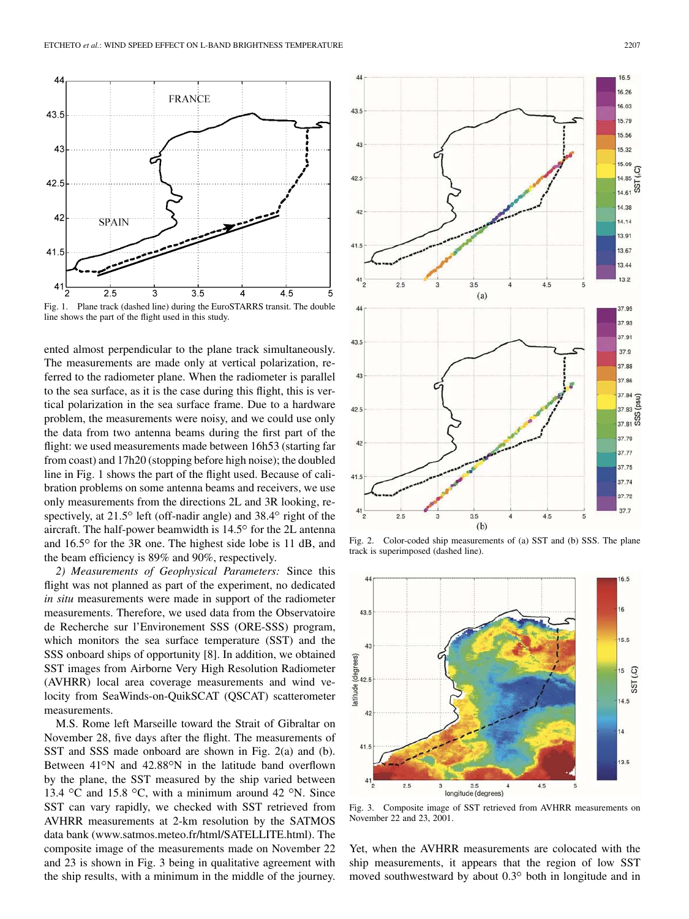44

43.5

43

42.5

42

41.5

4

**SPAIN** 

 $2.5$ 

line shows the part of the flight used in this study. ented almost perpendicular to the plane track simultaneously. The measurements are made only at vertical polarization, re-

3

ferred to the radiometer plane. When the radiometer is parallel to the sea surface, as it is the case during this flight, this is vertical polarization in the sea surface frame. Due to a hardware problem, the measurements were noisy, and we could use only the data from two antenna beams during the first part of the flight: we used measurements made between 16h53 (starting far from coast) and 17h20 (stopping before high noise); the doubled line in Fig. 1 shows the part of the flight used. Because of calibration problems on some antenna beams and receivers, we use only measurements from the directions 2L and 3R looking, respectively, at  $21.5^{\circ}$  left (off-nadir angle) and  $38.4^{\circ}$  right of the aircraft. The half-power beamwidth is  $14.5^\circ$  for the 2L antenna and  $16.5^{\circ}$  for the 3R one. The highest side lobe is 11 dB, and the beam efficiency is 89% and 90%, respectively.

*2) Measurements of Geophysical Parameters:* Since this flight was not planned as part of the experiment, no dedicated *in situ* measurements were made in support of the radiometer measurements. Therefore, we used data from the Observatoire de Recherche sur l'Environement SSS (ORE-SSS) program, which monitors the sea surface temperature (SST) and the SSS onboard ships of opportunity [[8\]](#page-5-0). In addition, we obtained SST images from Airborne Very High Resolution Radiometer (AVHRR) local area coverage measurements and wind velocity from SeaWinds-on-QuikSCAT (QSCAT) scatterometer measurements.

M.S. Rome left Marseille toward the Strait of Gibraltar on November 28, five days after the flight. The measurements of SST and SSS made onboard are shown in Fig. 2(a) and (b). Between  $41^{\circ}$ N and  $42.88^{\circ}$ N in the latitude band overflown by the plane, the SST measured by the ship varied between 13.4 °C and 15.8 °C, with a minimum around 42 °N. Since SST can vary rapidly, we checked with SST retrieved from AVHRR measurements at 2-km resolution by the SATMOS data bank (www.satmos.meteo.fr/html/SATELLITE.html). The composite image of the measurements made on November 22 and 23 is shown in Fig. 3 being in qualitative agreement with the ship results, with a minimum in the middle of the journey.

Fig. 2. Color-coded ship measurements of (a) SST and (b) SSS. The plane track is superimposed (dashed line).

 $3.5$ 

 $(b)$ 



Fig. 3. Composite image of SST retrieved from AVHRR measurements on November 22 and 23, 2001.

Yet, when the AVHRR measurements are colocated with the ship measurements, it appears that the region of low SST moved southwestward by about  $0.3^\circ$  both in longitude and in



42

 $41.5$ 

 $2.5$ 

16.5

16.26

16.03

15.79 15.56

15.32 15.09 Q

14.85

14.14

13.91

13.67

13.44  $13.2$ 

37.95 37.93 37.91

37.9 37.88

37.84 ě

37.83

37.79

37.77 37.75

37.74 37.72  $37.7$ 

 $4.5$ 

 $4.5$ 

SST 14.61 14.38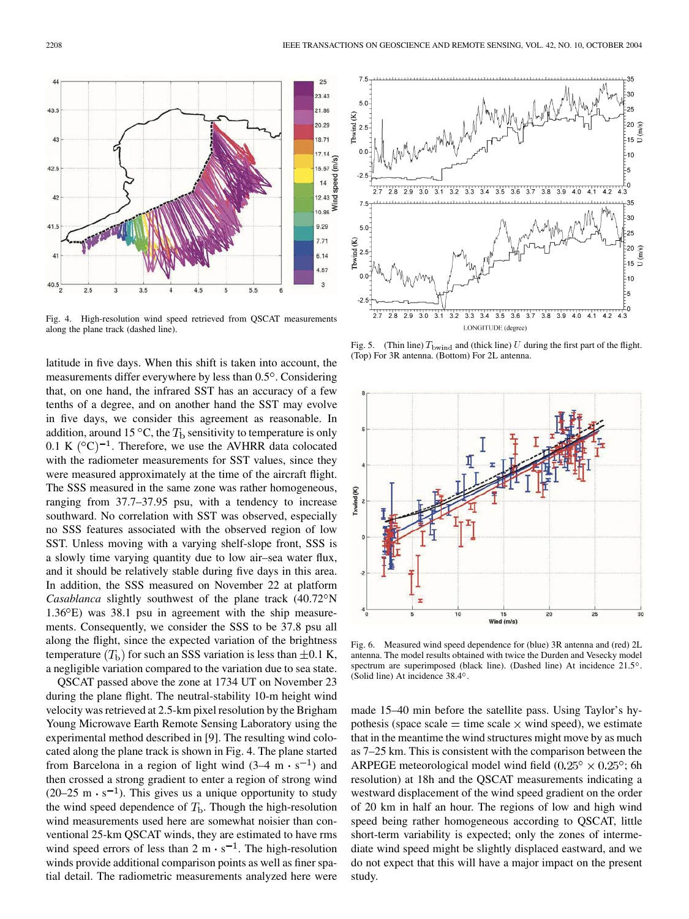

Fig. 4. High-resolution wind speed retrieved from QSCAT measurements along the plane track (dashed line).

latitude in five days. When this shift is taken into account, the measurements differ everywhere by less than  $0.5^\circ$ . Considering that, on one hand, the infrared SST has an accuracy of a few tenths of a degree, and on another hand the SST may evolve in five days, we consider this agreement as reasonable. In addition, around 15 °C, the  $T<sub>b</sub>$  sensitivity to temperature is only 0.1 K  $({}^{\circ}C)^{-1}$ . Therefore, we use the AVHRR data colocated with the radiometer measurements for SST values, since they were measured approximately at the time of the aircraft flight. The SSS measured in the same zone was rather homogeneous, ranging from 37.7–37.95 psu, with a tendency to increase southward. No correlation with SST was observed, especially no SSS features associated with the observed region of low SST. Unless moving with a varying shelf-slope front, SSS is a slowly time varying quantity due to low air–sea water flux, and it should be relatively stable during five days in this area. In addition, the SSS measured on November 22 at platform *Casablanca* slightly southwest of the plane track (40.72°N  $1.36^{\circ}$ E) was 38.1 psu in agreement with the ship measurements. Consequently, we consider the SSS to be 37.8 psu all along the flight, since the expected variation of the brightness temperature  $(T<sub>b</sub>)$  for such an SSS variation is less than  $\pm 0.1$  K, a negligible variation compared to the variation due to sea state.

QSCAT passed above the zone at 1734 UT on November 23 during the plane flight. The neutral-stability 10-m height wind velocity was retrieved at 2.5-km pixel resolution by the Brigham Young Microwave Earth Remote Sensing Laboratory using the experimental method described in [[9\]](#page-5-0). The resulting wind colocated along the plane track is shown in Fig. 4. The plane started from Barcelona in a region of light wind  $(3-4 \text{ m} \cdot \text{s}^{-1})$  and then crossed a strong gradient to enter a region of strong wind (20–25 m  $\cdot$  s<sup>-1</sup>). This gives us a unique opportunity to study the wind speed dependence of  $T<sub>b</sub>$ . Though the high-resolution wind measurements used here are somewhat noisier than conventional 25-km QSCAT winds, they are estimated to have rms wind speed errors of less than  $2 \text{ m} \cdot \text{s}^{-1}$ . The high-resolution winds provide additional comparison points as well as finer spatial detail. The radiometric measurements analyzed here were



Fig. 5. (Thin line)  $T_{\text{bwind}}$  and (thick line) U during the first part of the flight. (Top) For 3R antenna. (Bottom) For 2L antenna.



Fig. 6. Measured wind speed dependence for (blue) 3R antenna and (red) 2L antenna. The model results obtained with twice the Durden and Vesecky model spectrum are superimposed (black line). (Dashed line) At incidence  $21.5^\circ$ . (Solid line) At incidence 38.4°.

made 15–40 min before the satellite pass. Using Taylor's hypothesis (space scale  $=$  time scale  $\times$  wind speed), we estimate that in the meantime the wind structures might move by as much as 7–25 km. This is consistent with the comparison between the ARPEGE meteorological model wind field  $(0.25^{\circ} \times 0.25^{\circ})$ ; 6h resolution) at 18h and the QSCAT measurements indicating a westward displacement of the wind speed gradient on the order of 20 km in half an hour. The regions of low and high wind speed being rather homogeneous according to QSCAT, little short-term variability is expected; only the zones of intermediate wind speed might be slightly displaced eastward, and we do not expect that this will have a major impact on the present study.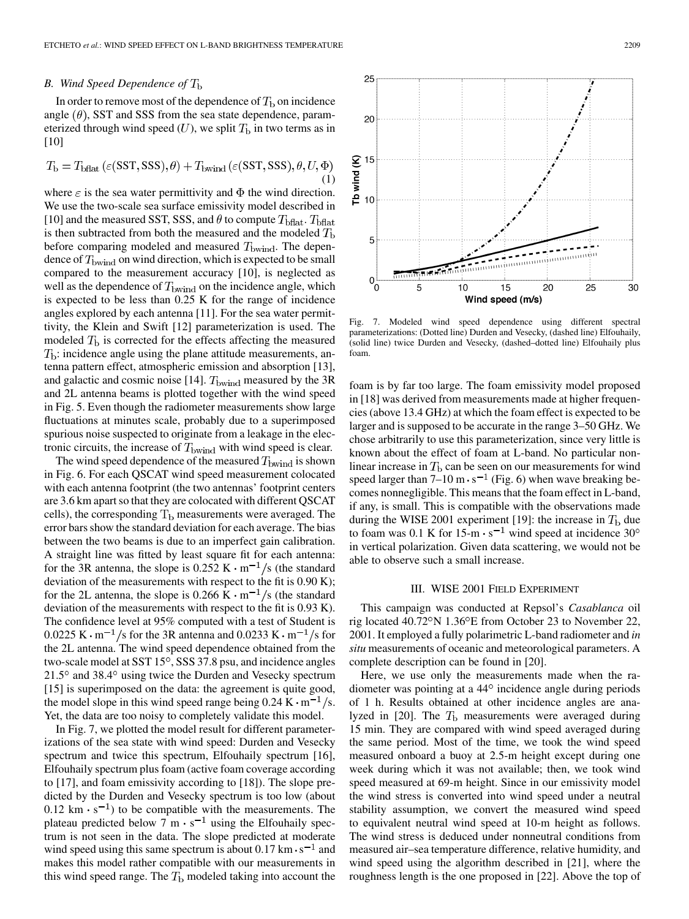## *B. Wind Speed Dependence of*

In order to remove most of the dependence of  $T<sub>b</sub>$  on incidence angle  $(\theta)$ , SST and SSS from the sea state dependence, parameterized through wind speed  $(U)$ , we split  $T<sub>b</sub>$  in two terms as in [\[10](#page-5-0)]

$$
T_{\rm b} = T_{\rm bflat} \left( \varepsilon({\rm SST, SSS}), \theta \right) + T_{\rm bwind} \left( \varepsilon({\rm SST, SSS}), \theta, U, \Phi \right) \tag{1}
$$

where  $\varepsilon$  is the sea water permittivity and  $\Phi$  the wind direction. We use the two-scale sea surface emissivity model described in [\[10](#page-5-0)] and the measured SST, SSS, and  $\theta$  to compute  $T_{\text{bflat}}$ .  $T_{\text{bflat}}$ is then subtracted from both the measured and the modeled  $T<sub>b</sub>$ before comparing modeled and measured  $T_{\text{bwind}}$ . The dependence of  $T_{\text{bwind}}$  on wind direction, which is expected to be small compared to the measurement accuracy [[10\]](#page-5-0), is neglected as well as the dependence of  $T_{\text{bwind}}$  on the incidence angle, which is expected to be less than 0.25 K for the range of incidence angles explored by each antenna [\[11](#page-5-0)]. For the sea water permittivity, the Klein and Swift [[12\]](#page-6-0) parameterization is used. The modeled  $T<sub>b</sub>$  is corrected for the effects affecting the measured  $T<sub>b</sub>$ : incidence angle using the plane attitude measurements, antenna pattern effect, atmospheric emission and absorption [\[13](#page-6-0)], and galactic and cosmic noise [\[14](#page-6-0)].  $T_{\text{bwind}}$  measured by the 3R and 2L antenna beams is plotted together with the wind speed in Fig. 5. Even though the radiometer measurements show large fluctuations at minutes scale, probably due to a superimposed spurious noise suspected to originate from a leakage in the electronic circuits, the increase of  $T_{\text{bwind}}$  with wind speed is clear.

The wind speed dependence of the measured  $T_{\text{bwind}}$  is shown in Fig. 6. For each QSCAT wind speed measurement colocated with each antenna footprint (the two antennas' footprint centers are 3.6 km apart so that they are colocated with different QSCAT cells), the corresponding  $T<sub>b</sub>$  measurements were averaged. The error bars show the standard deviation for each average. The bias between the two beams is due to an imperfect gain calibration. A straight line was fitted by least square fit for each antenna: for the 3R antenna, the slope is  $0.252 \text{ K} \cdot \text{m}^{-1}/\text{s}$  (the standard deviation of the measurements with respect to the fit is 0.90 K); for the 2L antenna, the slope is 0.266 K  $\cdot$  m<sup>-1</sup>/s (the standard deviation of the measurements with respect to the fit is 0.93 K). The confidence level at 95% computed with a test of Student is  $0.0225 \text{ K} \cdot \text{m}^{-1}$ /s for the 3R antenna and 0.0233 K  $\cdot \text{m}^{-1}$ /s for the 2L antenna. The wind speed dependence obtained from the two-scale model at SST 15°, SSS 37.8 psu, and incidence angles  $21.5^{\circ}$  and  $38.4^{\circ}$  using twice the Durden and Vesecky spectrum [\[15](#page-6-0)] is superimposed on the data: the agreement is quite good, the model slope in this wind speed range being  $0.24 \text{ K} \cdot \text{m}^{-1}/\text{s}$ . Yet, the data are too noisy to completely validate this model.

In Fig. 7, we plotted the model result for different parameterizations of the sea state with wind speed: Durden and Vesecky spectrum and twice this spectrum, Elfouhaily spectrum [\[16](#page-6-0)], Elfouhaily spectrum plus foam (active foam coverage according to [[17\]](#page-6-0), and foam emissivity according to [[18\]](#page-6-0)). The slope predicted by the Durden and Vesecky spectrum is too low (about 0.12 km  $\cdot$  s<sup>-1</sup>) to be compatible with the measurements. The plateau predicted below  $\overline{7}$  m  $\cdot$  s<sup>-1</sup> using the Elfouhaily spectrum is not seen in the data. The slope predicted at moderate wind speed using this same spectrum is about  $0.17 \text{ km} \cdot \text{s}^{-1}$  and makes this model rather compatible with our measurements in this wind speed range. The  $T<sub>b</sub>$  modeled taking into account the



Fig. 7. Modeled wind speed dependence using different spectral parameterizations: (Dotted line) Durden and Vesecky, (dashed line) Elfouhaily, (solid line) twice Durden and Vesecky, (dashed–dotted line) Elfouhaily plus foam.

foam is by far too large. The foam emissivity model proposed in [\[18](#page-6-0)] was derived from measurements made at higher frequencies (above 13.4 GHz) at which the foam effect is expected to be larger and is supposed to be accurate in the range 3–50 GHz. We chose arbitrarily to use this parameterization, since very little is known about the effect of foam at L-band. No particular nonlinear increase in  $T<sub>b</sub>$  can be seen on our measurements for wind speed larger than  $7-10 \text{ m} \cdot \text{s}^{-1}$  (Fig. 6) when wave breaking becomes nonnegligible. This means that the foam effect in L-band, if any, is small. This is compatible with the observations made during the WISE 2001 experiment [[19\]](#page-6-0): the increase in  $T<sub>b</sub>$  due to foam was 0.1 K for  $15\text{-m}\cdot\text{s}^{-1}$  wind speed at incidence 30<sup>o</sup> in vertical polarization. Given data scattering, we would not be able to observe such a small increase.

## III. WISE 2001 FIELD EXPERIMENT

This campaign was conducted at Repsol's *Casablanca* oil rig located 40.72°N 1.36°E from October 23 to November 22, 2001. It employed a fully polarimetric L-band radiometer and *in situ* measurements of oceanic and meteorological parameters. A complete description can be found in [[20\]](#page-6-0).

Here, we use only the measurements made when the radiometer was pointing at a  $44^{\circ}$  incidence angle during periods of 1 h. Results obtained at other incidence angles are analyzed in  $[20]$  $[20]$ . The  $T<sub>b</sub>$  measurements were averaged during 15 min. They are compared with wind speed averaged during the same period. Most of the time, we took the wind speed measured onboard a buoy at 2.5-m height except during one week during which it was not available; then, we took wind speed measured at 69-m height. Since in our emissivity model the wind stress is converted into wind speed under a neutral stability assumption, we convert the measured wind speed to equivalent neutral wind speed at 10-m height as follows. The wind stress is deduced under nonneutral conditions from measured air–sea temperature difference, relative humidity, and wind speed using the algorithm described in [\[21](#page-6-0)], where the roughness length is the one proposed in [\[22](#page-6-0)]. Above the top of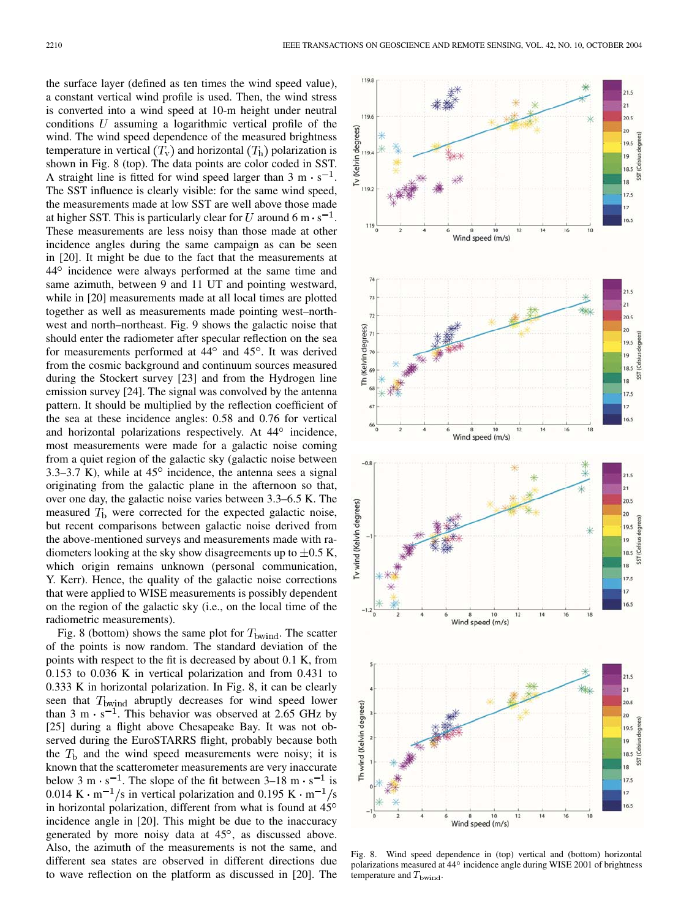the surface layer (defined as ten times the wind speed value), a constant vertical wind profile is used. Then, the wind stress is converted into a wind speed at 10-m height under neutral conditions  $U$  assuming a logarithmic vertical profile of the wind. The wind speed dependence of the measured brightness temperature in vertical  $(T_v)$  and horizontal  $(T_h)$  polarization is shown in Fig. 8 (top). The data points are color coded in SST. A straight line is fitted for wind speed larger than  $3 \text{ m} \cdot \text{s}^{-1}$ . The SST influence is clearly visible: for the same wind speed, the measurements made at low SST are well above those made at higher SST. This is particularly clear for U around 6 m $\cdot$  s<sup>-1</sup>. These measurements are less noisy than those made at other incidence angles during the same campaign as can be seen in [\[20](#page-6-0)]. It might be due to the fact that the measurements at 44<sup>°</sup> incidence were always performed at the same time and same azimuth, between 9 and 11 UT and pointing westward, while in [\[20](#page-6-0)] measurements made at all local times are plotted together as well as measurements made pointing west–northwest and north–northeast. Fig. 9 shows the galactic noise that should enter the radiometer after specular reflection on the sea for measurements performed at  $44^{\circ}$  and  $45^{\circ}$ . It was derived from the cosmic background and continuum sources measured during the Stockert survey [[23\]](#page-6-0) and from the Hydrogen line emission survey [\[24](#page-6-0)]. The signal was convolved by the antenna pattern. It should be multiplied by the reflection coefficient of the sea at these incidence angles: 0.58 and 0.76 for vertical and horizontal polarizations respectively. At  $44^{\circ}$  incidence, most measurements were made for a galactic noise coming from a quiet region of the galactic sky (galactic noise between 3.3–3.7 K), while at  $45^{\circ}$  incidence, the antenna sees a signal originating from the galactic plane in the afternoon so that, over one day, the galactic noise varies between 3.3–6.5 K. The measured  $T<sub>b</sub>$  were corrected for the expected galactic noise, but recent comparisons between galactic noise derived from the above-mentioned surveys and measurements made with radiometers looking at the sky show disagreements up to  $\pm 0.5$  K, which origin remains unknown (personal communication, Y. Kerr). Hence, the quality of the galactic noise corrections that were applied to WISE measurements is possibly dependent on the region of the galactic sky (i.e., on the local time of the radiometric measurements).

Fig. 8 (bottom) shows the same plot for  $T_{\text{bwind}}$ . The scatter of the points is now random. The standard deviation of the points with respect to the fit is decreased by about 0.1 K, from 0.153 to 0.036 K in vertical polarization and from 0.431 to 0.333 K in horizontal polarization. In Fig. 8, it can be clearly seen that  $T_{\text{bwind}}$  abruptly decreases for wind speed lower than 3 m  $\cdot$  s<sup>-1</sup>. This behavior was observed at 2.65 GHz by [[25\]](#page-6-0) during a flight above Chesapeake Bay. It was not observed during the EuroSTARRS flight, probably because both the  $T<sub>b</sub>$  and the wind speed measurements were noisy; it is known that the scatterometer measurements are very inaccurate below 3 m  $\cdot$  s<sup>-1</sup>. The slope of the fit between 3–18 m  $\cdot$  s<sup>-1</sup> is 0.014 K · m<sup>-1</sup>/s in vertical polarization and 0.195 K · m<sup>-1</sup>/s in horizontal polarization, different from what is found at  $45^{\circ}$ incidence angle in [\[20](#page-6-0)]. This might be due to the inaccuracy generated by more noisy data at  $45^\circ$ , as discussed above. Also, the azimuth of the measurements is not the same, and different sea states are observed in different directions due to wave reflection on the platform as discussed in [\[20](#page-6-0)]. The



Fig. 8. Wind speed dependence in (top) vertical and (bottom) horizontal polarizations measured at  $44^{\circ}$  incidence angle during WISE 2001 of brightness temperature and  $T_{\text{bwind}}$ .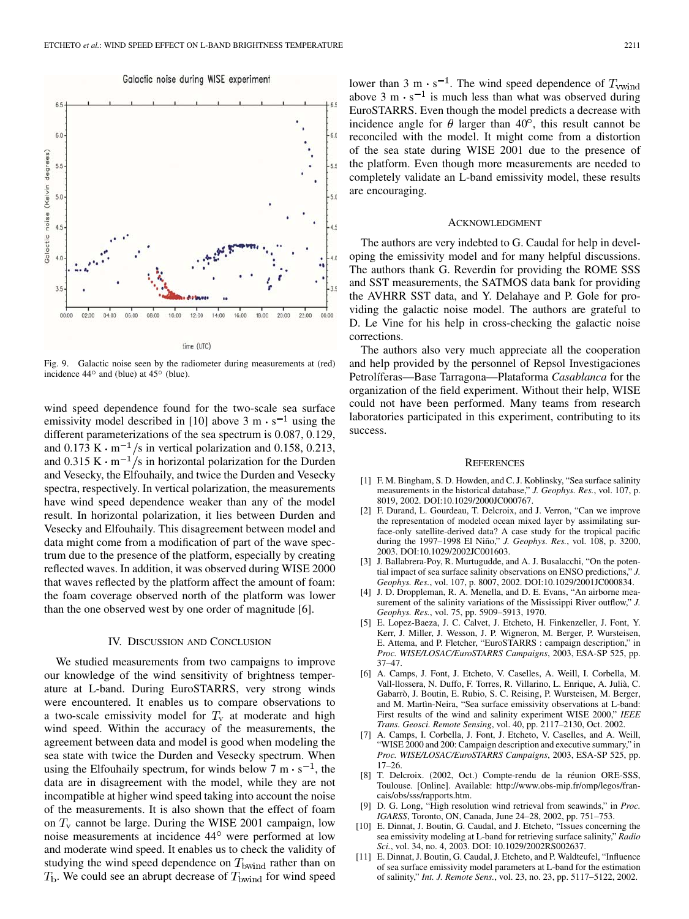Galactic noise during WISE experiment

<span id="page-5-0"></span>

Fig. 9. Galactic noise seen by the radiometer during measurements at (red) incidence  $44^{\circ}$  and (blue) at  $45^{\circ}$  (blue).

wind speed dependence found for the two-scale sea surface emissivity model described in [10] above  $3 \text{ m} \cdot \text{s}^{-1}$  using the different parameterizations of the sea spectrum is 0.087, 0.129, and 0.173 K  $\cdot$  m<sup>-1</sup>/s in vertical polarization and 0.158, 0.213, and 0.315 K  $\cdot$  m<sup>-1</sup>/s in horizontal polarization for the Durden and Vesecky, the Elfouhaily, and twice the Durden and Vesecky spectra, respectively. In vertical polarization, the measurements have wind speed dependence weaker than any of the model result. In horizontal polarization, it lies between Durden and Vesecky and Elfouhaily. This disagreement between model and data might come from a modification of part of the wave spectrum due to the presence of the platform, especially by creating reflected waves. In addition, it was observed during WISE 2000 that waves reflected by the platform affect the amount of foam: the foam coverage observed north of the platform was lower than the one observed west by one order of magnitude [6].

#### IV. DISCUSSION AND CONCLUSION

We studied measurements from two campaigns to improve our knowledge of the wind sensitivity of brightness temperature at L-band. During EuroSTARRS, very strong winds were encountered. It enables us to compare observations to a two-scale emissivity model for  $T_v$  at moderate and high wind speed. Within the accuracy of the measurements, the agreement between data and model is good when modeling the sea state with twice the Durden and Vesecky spectrum. When using the Elfouhaily spectrum, for winds below  $7 \text{ m} \cdot \text{s}^{-1}$ , the data are in disagreement with the model, while they are not incompatible at higher wind speed taking into account the noise of the measurements. It is also shown that the effect of foam on  $T_v$  cannot be large. During the WISE 2001 campaign, low noise measurements at incidence 44° were performed at low and moderate wind speed. It enables us to check the validity of studying the wind speed dependence on  $T_{\text{bwind}}$  rather than on  $T_{\rm b}$ . We could see an abrupt decrease of  $T_{\rm bwind}$  for wind speed

lower than 3 m  $\cdot$  s<sup>-1</sup>. The wind speed dependence of  $T_{\text{wwind}}$ above 3 m $\cdot$  s<sup>-1</sup> is much less than what was observed during EuroSTARRS. Even though the model predicts a decrease with incidence angle for  $\theta$  larger than 40°, this result cannot be reconciled with the model. It might come from a distortion of the sea state during WISE 2001 due to the presence of the platform. Even though more measurements are needed to completely validate an L-band emissivity model, these results are encouraging.

#### ACKNOWLEDGMENT

The authors are very indebted to G. Caudal for help in developing the emissivity model and for many helpful discussions. The authors thank G. Reverdin for providing the ROME SSS and SST measurements, the SATMOS data bank for providing the AVHRR SST data, and Y. Delahaye and P. Gole for providing the galactic noise model. The authors are grateful to D. Le Vine for his help in cross-checking the galactic noise corrections.

The authors also very much appreciate all the cooperation and help provided by the personnel of Repsol Investigaciones Petrolíferas—Base Tarragona—Plataforma *Casablanca* for the organization of the field experiment. Without their help, WISE could not have been performed. Many teams from research laboratories participated in this experiment, contributing to its success.

#### **REFERENCES**

- [1] F. M. Bingham, S. D. Howden, and C. J. Koblinsky, "Sea surface salinity measurements in the historical database," *J. Geophys. Res.*, vol. 107, p. 8019, 2002. DOI:10.1029/2000JC000767.
- [2] F. Durand, L. Gourdeau, T. Delcroix, and J. Verron, "Can we improve the representation of modeled ocean mixed layer by assimilating surface-only satellite-derived data? A case study for the tropical pacific during the 1997–1998 El Niño," *J. Geophys. Res.*, vol. 108, p. 3200, 2003. DOI:10.1029/2002JC001603.
- [3] J. Ballabrera-Poy, R. Murtugudde, and A. J. Busalacchi, "On the potential impact of sea surface salinity observations on ENSO predictions," *J. Geophys. Res.*, vol. 107, p. 8007, 2002. DOI:10.1029/2001JC000834.
- [4] J. D. Droppleman, R. A. Menella, and D. E. Evans, "An airborne measurement of the salinity variations of the Mississippi River outflow," *J. Geophys. Res.*, vol. 75, pp. 5909–5913, 1970.
- [5] E. Lopez-Baeza, J. C. Calvet, J. Etcheto, H. Finkenzeller, J. Font, Y. Kerr, J. Miller, J. Wesson, J. P. Wigneron, M. Berger, P. Wursteisen, E. Attema, and P. Fletcher, "EuroSTARRS : campaign description," in *Proc. WISE/LOSAC/EuroSTARRS Campaigns*, 2003, ESA-SP 525, pp. 37–47.
- [6] A. Camps, J. Font, J. Etcheto, V. Caselles, A. Weill, I. Corbella, M. Vall-llossera, N. Duffo, F. Torres, R. Villarino, L. Enrique, A. Julià, C. Gabarrò, J. Boutin, E. Rubio, S. C. Reising, P. Wursteisen, M. Berger, and M. Martìn-Neira, "Sea surface emissivity observations at L-band: First results of the wind and salinity experiment WISE 2000," *IEEE Trans. Geosci. Remote Sensing*, vol. 40, pp. 2117–2130, Oct. 2002.
- [7] A. Camps, I. Corbella, J. Font, J. Etcheto, V. Caselles, and A. Weill, "WISE 2000 and 200: Campaign description and executive summary," in *Proc. WISE/LOSAC/EuroSTARRS Campaigns*, 2003, ESA-SP 525, pp. 17–26.
- [8] T. Delcroix. (2002, Oct.) Compte-rendu de la réunion ORE-SSS, Toulouse. [Online]. Available: http://www.obs-mip.fr/omp/legos/francais/obs/sss/rapports.htm.
- [9] D. G. Long, "High resolution wind retrieval from seawinds," in *Proc. IGARSS*, Toronto, ON, Canada, June 24–28, 2002, pp. 751–753.
- [10] E. Dinnat, J. Boutin, G. Caudal, and J. Etcheto, "Issues concerning the sea emissivity modeling at L-band for retrieving surface salinity," *Radio Sci.*, vol. 34, no. 4, 2003. DOI: 10.1029/2002RS002637.
- [11] E. Dinnat, J. Boutin, G. Caudal, J. Etcheto, and P. Waldteufel, "Influence of sea surface emissivity model parameters at L-band for the estimation of salinity," *Int. J. Remote Sens.*, vol. 23, no. 23, pp. 5117–5122, 2002.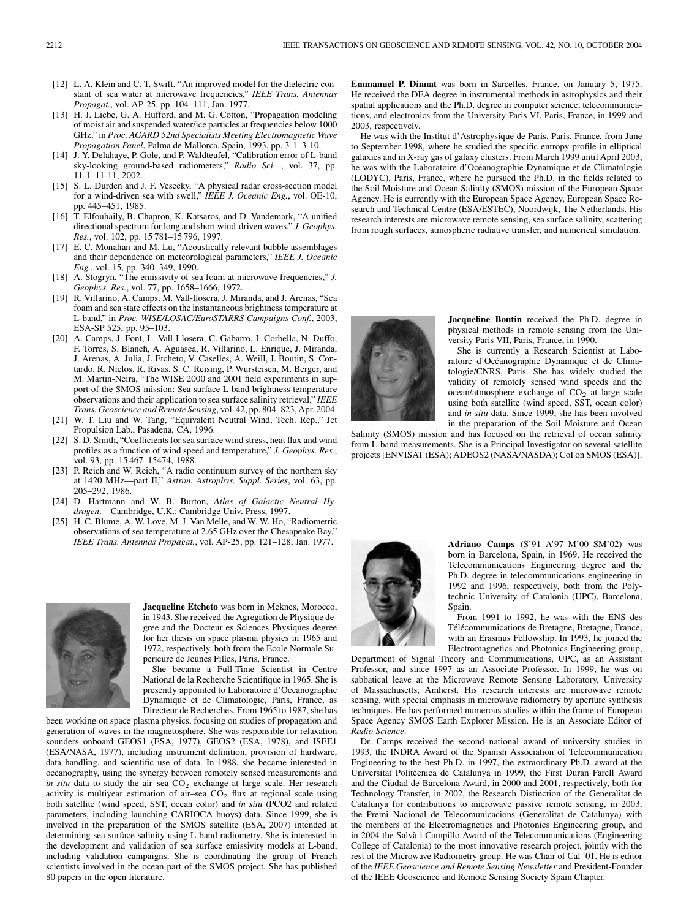- <span id="page-6-0"></span>[12] L. A. Klein and C. T. Swift, "An improved model for the dielectric constant of sea water at microwave frequencies," *IEEE Trans. Antennas Propagat.*, vol. AP-25, pp. 104–111, Jan. 1977.
- [13] H. J. Liebe, G. A. Hufford, and M. G. Cotton, "Propagation modeling of moist air and suspended water/ice particles at frequencies below 1000 GHz," in *Proc. AGARD 52nd Specialists Meeting Electromagnetic Wave Propagation Panel*, Palma de Mallorca, Spain, 1993, pp. 3-1–3-10.
- [14] J. Y. Delahaye, P. Gole, and P. Waldteufel, "Calibration error of L-band sky-looking ground-based radiometers," *Radio Sci.* , vol. 37, pp. 11-1–11-11, 2002.
- [15] S. L. Durden and J. F. Vesecky, "A physical radar cross-section model for a wind-driven sea with swell," *IEEE J. Oceanic Eng.*, vol. OE-10, pp. 445–451, 1985.
- [16] T. Elfouhaily, B. Chapron, K. Katsaros, and D. Vandemark, "A unified directional spectrum for long and short wind-driven waves," *J. Geophys. Res.*, vol. 102, pp. 15 781–15 796, 1997.
- [17] E. C. Monahan and M. Lu, "Acoustically relevant bubble assemblages and their dependence on meteorological parameters," *IEEE J. Oceanic Eng.*, vol. 15, pp. 340–349, 1990.
- [18] A. Stogryn, "The emissivity of sea foam at microwave frequencies," *J. Geophys. Res.*, vol. 77, pp. 1658–1666, 1972.
- [19] R. Villarino, A. Camps, M. Vall-llosera, J. Miranda, and J. Arenas, "Sea foam and sea state effects on the instantaneous brightness temperature at L-band," in *Proc. WISE/LOSAC/EuroSTARRS Campaigns Conf.*, 2003, ESA-SP 525, pp. 95–103.
- [20] A. Camps, J. Font, L. Vall-Llosera, C. Gabarro, I. Corbella, N. Duffo, F. Torres, S. Blanch, A. Aguasca, R. Villarino, L. Enrique, J. Miranda, J. Arenas, A. Julia, J. Etcheto, V. Caselles, A. Weill, J. Boutin, S. Contardo, R. Niclos, R. Rivas, S. C. Reising, P. Wursteisen, M. Berger, and M. Martin-Neira, "The WISE 2000 and 2001 field experiments in support of the SMOS mission: Sea surface L-band brightness temperature observations and their application to sea surface salinity retrieval," *IEEE Trans. Geoscience and Remote Sensing*, vol. 42, pp. 804–823, Apr. 2004.
- [21] W. T. Liu and W. Tang, "Equivalent Neutral Wind, Tech. Rep.," Jet Propulsion Lab., Pasadena, CA, 1996.
- [22] S. D. Smith, "Coefficients for sea surface wind stress, heat flux and wind profiles as a function of wind speed and temperature," *J. Geophys. Res.*, vol. 93, pp. 15 467–15474, 1988.
- [23] P. Reich and W. Reich, "A radio continuum survey of the northern sky at 1420 MHz—part II," *Astron. Astrophys. Suppl. Series*, vol. 63, pp. 205–292, 1986.
- [24] D. Hartmann and W. B. Burton, *Atlas of Galactic Neutral Hydrogen*. Cambridge, U.K.: Cambridge Univ. Press, 1997.
- [25] H. C. Blume, A. W. Love, M. J. Van Melle, and W. W. Ho, "Radiometric observations of sea temperature at 2.65 GHz over the Chesapeake Bay," *IEEE Trans. Antennas Propagat.*, vol. AP-25, pp. 121–128, Jan. 1977.



**Jacqueline Etcheto** was born in Meknes, Morocco, in 1943. She received the Agregation de Physique degree and the Docteur es Sciences Physiques degree for her thesis on space plasma physics in 1965 and 1972, respectively, both from the Ecole Normale Superieure de Jeunes Filles, Paris, France.

She became a Full-Time Scientist in Centre National de la Recherche Scientifique in 1965. She is presently appointed to Laboratoire d'Oceanographie Dynamique et de Climatologie, Paris, France, as Directeur de Recherches. From 1965 to 1987, she has

been working on space plasma physics, focusing on studies of propagation and generation of waves in the magnetosphere. She was responsible for relaxation sounders onboard GEOS1 (ESA, 1977), GEOS2 (ESA, 1978), and ISEE1 (ESA/NASA, 1977), including instrument definition, provision of hardware, data handling, and scientific use of data. In 1988, she became interested in oceanography, using the synergy between remotely sensed measurements and *in situ* data to study the air–sea CO<sub>2</sub> exchange at large scale. Her research activity is multiyear estimation of air-sea  $CO<sub>2</sub>$  flux at regional scale using both satellite (wind speed, SST, ocean color) and *in situ* (PCO2 and related parameters, including launching CARIOCA buoys) data. Since 1999, she is involved in the preparation of the SMOS satellite (ESA, 2007) intended at determining sea surface salinity using L-band radiometry. She is interested in the development and validation of sea surface emissivity models at L-band, including validation campaigns. She is coordinating the group of French scientists involved in the ocean part of the SMOS project. She has published 80 papers in the open literature.

**Emmanuel P. Dinnat** was born in Sarcelles, France, on January 5, 1975. He received the DEA degree in instrumental methods in astrophysics and their spatial applications and the Ph.D. degree in computer science, telecommunications, and electronics from the University Paris VI, Paris, France, in 1999 and 2003, respectively.

He was with the Institut d'Astrophysique de Paris, Paris, France, from June to September 1998, where he studied the specific entropy profile in elliptical galaxies and in X-ray gas of galaxy clusters. From March 1999 until April 2003, he was with the Laboratoire d'Océanographie Dynamique et de Climatologie (LODYC), Paris, France, where he pursued the Ph.D. in the fields related to the Soil Moisture and Ocean Salinity (SMOS) mission of the European Space Agency. He is currently with the European Space Agency, European Space Research and Technical Centre (ESA/ESTEC), Noordwijk, The Netherlands. His research interests are microwave remote sensing, sea surface salinity, scattering from rough surfaces, atmospheric radiative transfer, and numerical simulation.



**Jacqueline Boutin** received the Ph.D. degree in physical methods in remote sensing from the University Paris VII, Paris, France, in 1990.

She is currently a Research Scientist at Laboratoire d'Océanographie Dynamique et de Climatologie/CNRS, Paris. She has widely studied the validity of remotely sensed wind speeds and the ocean/atmosphere exchange of  $CO<sub>2</sub>$  at large scale using both satellite (wind speed, SST, ocean color) and *in situ* data. Since 1999, she has been involved in the preparation of the Soil Moisture and Ocean

Salinity (SMOS) mission and has focused on the retrieval of ocean salinity from L-band measurements. She is a Principal Investigator on several satellite projects [ENVISAT (ESA); ADEOS2 (NASA/NASDA); CoI on SMOS (ESA)].



**Adriano Camps** (S'91–A'97–M'00–SM'02) was born in Barcelona, Spain, in 1969. He received the Telecommunications Engineering degree and the Ph.D. degree in telecommunications engineering in 1992 and 1996, respectively, both from the Polytechnic University of Catalonia (UPC), Barcelona, Spain.

From 1991 to 1992, he was with the ENS des Télécommunications de Bretagne, Bretagne, France, with an Erasmus Fellowship. In 1993, he joined the Electromagnetics and Photonics Engineering group,

Department of Signal Theory and Communications, UPC, as an Assistant Professor, and since 1997 as an Associate Professor. In 1999, he was on sabbatical leave at the Microwave Remote Sensing Laboratory, University of Massachusetts, Amherst. His research interests are microwave remote sensing, with special emphasis in microwave radiometry by aperture synthesis techniques. He has performed numerous studies within the frame of European Space Agency SMOS Earth Explorer Mission. He is an Associate Editor of *Radio Science*.

Dr. Camps received the second national award of university studies in 1993, the INDRA Award of the Spanish Association of Telecommunication Engineering to the best Ph.D. in 1997, the extraordinary Ph.D. award at the Universitat Politècnica de Catalunya in 1999, the First Duran Farell Award and the Ciudad de Barcelona Award, in 2000 and 2001, respectively, both for Technology Transfer, in 2002, the Research Distinction of the Generalitat de Catalunya for contributions to microwave passive remote sensing, in 2003, the Premi Nacional de Telecomunicacions (Generalitat de Catalunya) with the members of the Electromagnetics and Photonics Engineering group, and in 2004 the Salvà i Campillo Award of the Telecommunications (Engineering College of Catalonia) to the most innovative research project, jointly with the rest of the Microwave Radiometry group. He was Chair of Cal '01. He is editor of the *IEEE Geoscience and Remote Sensing Newsletter* and President-Founder of the IEEE Geoscience and Remote Sensing Society Spain Chapter.